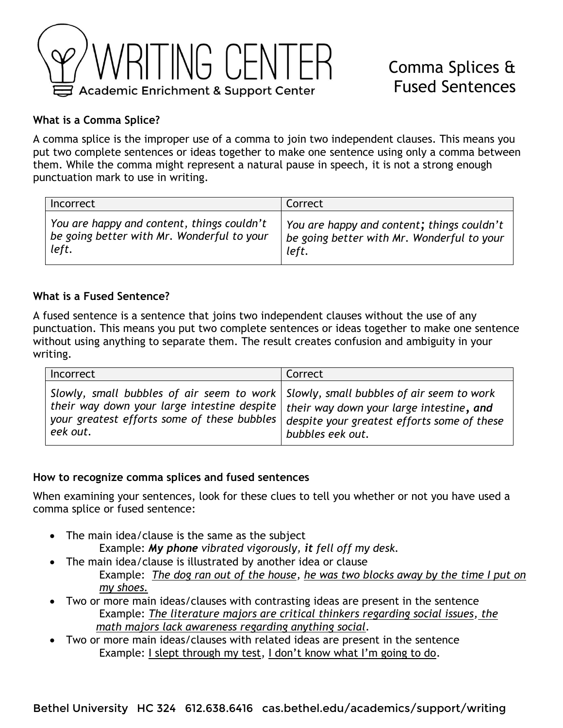

# Comma Splices & Fused Sentences

### **What is a Comma Splice?**

A comma splice is the improper use of a comma to join two independent clauses. This means you put two complete sentences or ideas together to make one sentence using only a comma between them. While the comma might represent a natural pause in speech, it is not a strong enough punctuation mark to use in writing.

| Incorrect                                  | Correct                                    |
|--------------------------------------------|--------------------------------------------|
| You are happy and content, things couldn't | You are happy and content; things couldn't |
| be going better with Mr. Wonderful to your | be going better with Mr. Wonderful to your |
| left.                                      | left.                                      |

#### **What is a Fused Sentence?**

A fused sentence is a sentence that joins two independent clauses without the use of any punctuation. This means you put two complete sentences or ideas together to make one sentence without using anything to separate them. The result creates confusion and ambiguity in your writing.

| Incorrect                                                                                                                                                                                                                                                                                | Correct          |
|------------------------------------------------------------------------------------------------------------------------------------------------------------------------------------------------------------------------------------------------------------------------------------------|------------------|
| Slowly, small bubbles of air seem to work Slowly, small bubbles of air seem to work<br>their way down your large intestine despite $ $ their way down your large intestine, and<br>your greatest efforts some of these bubbles   despite your greatest efforts some of these<br>eek out. | bubbles eek out. |

#### **How to recognize comma splices and fused sentences**

When examining your sentences, look for these clues to tell you whether or not you have used a comma splice or fused sentence:

- The main idea/clause is the same as the subject
	- Example: *My phone vibrated vigorously, it fell off my desk.*
- The main idea/clause is illustrated by another idea or clause

Example: *The dog ran out of the house, he was two blocks away by the time I put on my shoes.*

- Two or more main ideas/clauses with contrasting ideas are present in the sentence Example: *The literature majors are critical thinkers regarding social issues, the math majors lack awareness regarding anything social.*
- Two or more main ideas/clauses with related ideas are present in the sentence Example: I slept through my test, I don't know what I'm going to do.